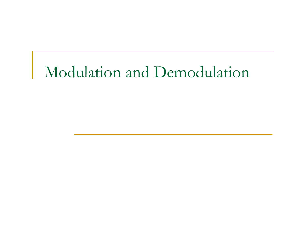# Modulation and Demodulation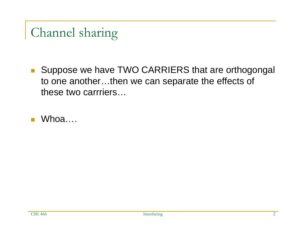#### Channel sharing

■ Suppose we have TWO CARRIERS that are orthogongal to one another…then we can separate the effects of these two carrriers…

T. Whoa….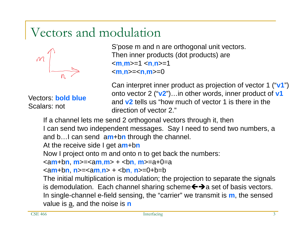#### Vectors and modulation



Vectors: **bold blue**Scalars: not

S'pose m and n are orthogonal unit vectors. Then inner products (dot products) are < **<sup>m</sup>**,**m**>=1 < **<sup>n</sup>**,**n**>=1 < **m**,**n**>=< **<sup>n</sup>**,**m**>=0

Can interpret inner product as projection of vector 1 ("**v1**") onto vector 2 ("**v2**")…in other words, inner product of **v1** and **v2** tells us "how much of vector 1 is there in the direction of vector 2."

If a channel lets me send 2 orthogonal vectors through it, then I can send two independent messages. Say I need to send two numbers, a and b…I can send a **m**+b **n** through the channel. At the receive side I get a **m**+b **n**

Now I project onto m and onto n to get back the numbers:

<a **m**+b **n**, **m**>=<a **<sup>m</sup>**,**m**> + <b **<sup>n</sup>**, **m**>=a+0=a

<a **m**+b **n**, **n**>=<a **<sup>m</sup>**,**n**> + <b **<sup>n</sup>**, **n**>=0+b=b

The initial multiplication is modulation; the projection to separate the signals is demodulation. Each channel sharing scheme  $\leftrightarrow$  a set of basis vectors. In single-channel e-field sensing, the "carrier" we transmit is **<sup>m</sup>**, the sensed value is <u>a,</u> and the noise is **n**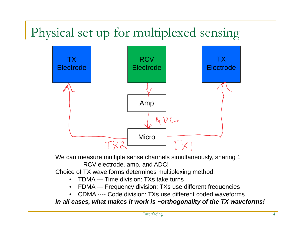### Physical set up for multiplexed sensing



We can measure multiple sense channels simultaneously, sharing 1 RCV electrode, amp, and ADC!

Choice of TX wave forms determines multiplexing method:

- $\bullet$ TDMA --- Time division: TXs take turns
- •FDMA --- Frequency division: TXs use different frequencies
- •CDMA ---- Code division: TXs use different coded waveforms

*In all cases, what makes it work is ~orthogonality of the TX waveforms!*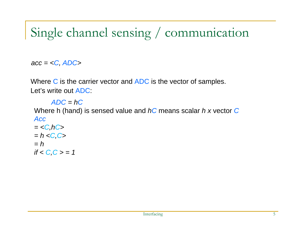#### Single channel sensing / communication

*acc = <C, ADC>*

*if < C,C > = 1*

Where  $C$  is the carrier vector and  $ADC$  is the vector of samples. Let's write out ADC:

*ADC = hC* Where h (hand) is sensed value and *hC* means scalar *h x* vector *C Acc= <C,hC> = h <C,C> = h*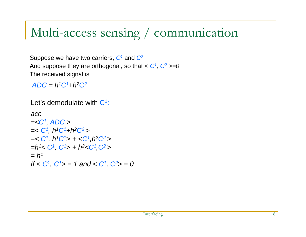#### Multi-access sensing / communication

Suppose we have two carriers, *C1* and *C2* And suppose they are orthogonal, so that  $\langle C^1, C^2 \rangle = 0$ The received signal is

*ADC = h1C1+h2C2*

Let's demodulate with  $C^1$ :

```
acc=<C1, ADC >
=< C1, h1C1+h2C2 >
=< C1, h1C1> + <C1,h2C2 >
=h1< C1, C1> + h2<C1,C2 >
= h1
If < C1, C1> = 1 and < C1, C2> = 0
```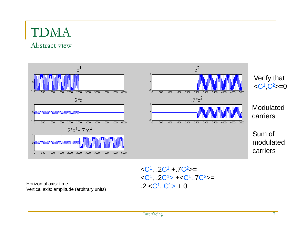### TDMA

Abstract view



 $\langle C^1, 2C^1 + 7C^2 \rangle =$  $\langle C^1, .2C^1 \rangle + \langle C^1, .7C^2 \rangle =$ .2  $<$ C<sup>1</sup>, C<sup>1</sup> $>$  + 0

Horizontal axis: time Vertical axis: amplitude (arbitrary units)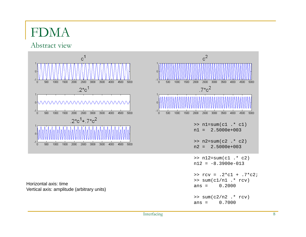#### FDMA

Abstract view



Horizontal axis: timeVertical axis: amplitude (arbitrary units)

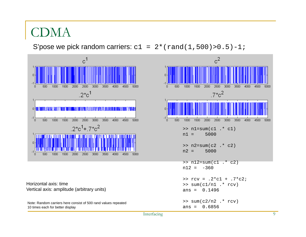#### CDMA

S'pose we pick random carriers:  $c1 = 2*(rand(1,500) > 0.5) - 1$ ;



Horizontal axis: timeVertical axis: amplitude (arbitrary units)

Note: Random carriers here consist of 500 rand values repeated 10 times each for better display

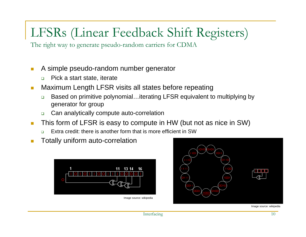#### LFSRs (Linear Feedback Shift Registers)

The right way to generate pseudo-random carriers for CDMA

- $\mathbb{R}^3$  A simple pseudo-random number generator
	- $\Box$ Pick a start state, iterate
- $\blacksquare$  Maximum Length LFSR visits all states before repeating
	- $\Box$  Based on primitive polynomial…iterating LFSR equivalent to multiplying by generator for group
	- $\Box$ Can analytically compute auto-correlation
- $\mathbf{r}$  This form of LFSR is easy to compute in HW (but not as nice in SW)
	- ❏ Extra credit: there is another form that is more efficient in SW
- m. Totally uniform auto-correlation



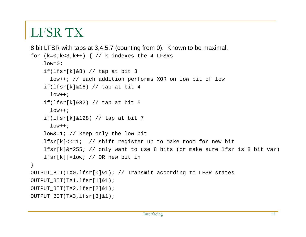#### LFSR TX

```
8 bit LFSR with taps at 3,4,5,7 (counting from 0). Known to be maximal.
for (k=0; k<3; k++) \{ // k indexes the 4 LFSRs
    low=0;if(lfsr[k]&8) // tap at bit 3
      low++; // each addition performs XOR on low bit of low
    if(lfsr[k]&16) // tap at bit 4
      low++;if(lfsr[k]&32) // tap at bit 5
      low++;if(lfsr[k]&128) // tap at bit 7
      low++;low&=1; // keep only the low bit
    lfsr[k]<<=1; // shift register up to make room for new bit
    lfsr[k]&=255; // only want to use 8 bits (or make sure lfsr is 8 bit var)
    lfsr[k]|=low; // OR new bit in
}
OUTPUT_BIT(TX0,lfsr[0]&1); // Transmit according to LFSR states
OUTPUT_BIT(TX1,lfsr[1]&1); 
OUTPUT BIT(TX2, lfsr[2]&1);
OUTPUT_BIT(TX3,lfsr[3]&1);
```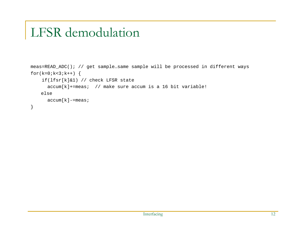#### LFSR demodulation

```
meas=READ_ADC(); // get sample…same sample will be processed in different ways
for(k=0;k<3;k++) {
    if(lfsr[k]&1) // check LFSR state
      \text{accum}[k] +=meas; // make sure accum is a 16 bit variable!
    else\texttt{accum[k]}=\texttt{meas};}
```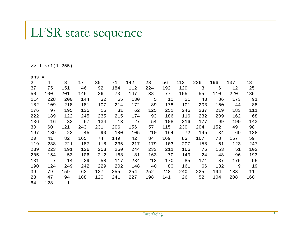#### LFSR state sequence

>> lfsr1(1:255)

| ans            | $=$ |              |     |     |     |     |     |     |     |                |     |     |     |
|----------------|-----|--------------|-----|-----|-----|-----|-----|-----|-----|----------------|-----|-----|-----|
| $\overline{2}$ | 4   | 8            | 17  | 35  | 71  | 142 | 28  | 56  | 113 | 226            | 196 | 137 | 18  |
| 37             | 75  | 151          | 46  | 92  | 184 | 112 | 224 | 192 | 129 | $\overline{3}$ | 6   | 12  | 25  |
| 50             | 100 | 201          | 146 | 36  | 73  | 147 | 38  | 77  | 155 | 55             | 110 | 220 | 185 |
| 114            | 228 | 200          | 144 | 32  | 65  | 130 | 5   | 10  | 21  | 43             | 86  | 173 | 91  |
| 182            | 109 | 218          | 181 | 107 | 214 | 172 | 89  | 178 | 101 | 203            | 150 | 44  | 88  |
| 176            | 97  | 195          | 135 | 15  | 31  | 62  | 125 | 251 | 246 | 237            | 219 | 183 | 111 |
| 222            | 189 | 122          | 245 | 235 | 215 | 174 | 93  | 186 | 116 | 232            | 209 | 162 | 68  |
| 136            | 16  | 33           | 67  | 134 | 13  | 27  | 54  | 108 | 216 | 177            | 99  | 199 | 143 |
| 30             | 60  | 121          | 243 | 231 | 206 | 156 | 57  | 115 | 230 | 204            | 152 | 49  | 98  |
| 197            | 139 | 22           | 45  | 90  | 180 | 105 | 210 | 164 | 72  | 145            | 34  | 69  | 138 |
| 20             | 41  | 82           | 165 | 74  | 149 | 42  | 84  | 169 | 83  | 167            | 78  | 157 | 59  |
| 119            | 238 | 221          | 187 | 118 | 236 | 217 | 179 | 103 | 207 | 158            | 61  | 123 | 247 |
| 239            | 223 | 191          | 126 | 253 | 250 | 244 | 233 | 211 | 166 | 76             | 153 | 51  | 102 |
| 205            | 154 | 53           | 106 | 212 | 168 | 81  | 163 | 70  | 140 | 24             | 48  | 96  | 193 |
| 131            | 7   | 14           | 29  | 58  | 117 | 234 | 213 | 170 | 85  | 171            | 87  | 175 | 95  |
| 190            | 124 | 249          | 242 | 229 | 202 | 148 | 40  | 80  | 161 | 66             | 132 | 9   | 19  |
| 39             | 79  | 159          | 63  | 127 | 255 | 254 | 252 | 248 | 240 | 225            | 194 | 133 | 11  |
| 23             | 47  | 94           | 188 | 120 | 241 | 227 | 198 | 141 | 26  | 52             | 104 | 208 | 160 |
| 64             | 128 | $\mathbf{1}$ |     |     |     |     |     |     |     |                |     |     |     |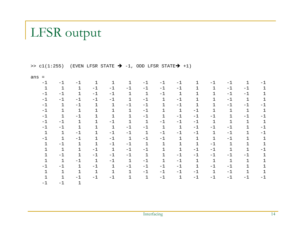#### LFSR output

>>  $c1(1:255)$  (EVEN LFSR STATE  $\rightarrow$  -1, ODD LFSR STATE $\rightarrow$  +1)

| ans          |              |              |              |              |              |              |              |              |              |              |              |              |              |
|--------------|--------------|--------------|--------------|--------------|--------------|--------------|--------------|--------------|--------------|--------------|--------------|--------------|--------------|
| $-1$         | $-1$         | $-1$         | 1            | 1            | 1            | $-1$         | $-1$         | $-1$         | 1            | $-1$         | $-1$         | $\mathbf 1$  | $-1$         |
| $\mathbf{1}$ | $\mathbf{1}$ | $\mathbf{1}$ | $-1$         | $-1$         | $-1$         | $-1$         | $-1$         | $-1$         | 1            | $\mathbf{1}$ | $-1$         | $-1$         |              |
| $-1$         | $-1$         | $\mathbf 1$  | $-1$         | $-1$         | $\mathbf 1$  | $\mathbf{1}$ | $-1$         | $1\,$        | 1            | $\mathbf 1$  | $-1$         | $-1$         | 1            |
| $-1$         | $-1$         | $-1$         | $-1$         | $-1$         | $\mathbf 1$  | $-1$         | $\mathbf 1$  | $-1$         | 1            | $\mathbf 1$  | $-1$         | $\mathbf 1$  | $\mathbf 1$  |
| $-1$         | $\mathbf 1$  | $-1$         | $\mathbf 1$  | $\mathbf 1$  | $-1$         | $-1$         | $\mathbf{1}$ | $-1$         | $\mathbf 1$  | $\mathbf 1$  | $-1$         | $-1$         | $-1$         |
| $-1$         | $\mathbf 1$  | $\mathbf{1}$ | $\mathbf 1$  | $\mathbf 1$  | $\mathbf{1}$ | $-1$         | $\mathbf 1$  | $1\,$        | $-1$         | $\mathbf 1$  | $\mathbf 1$  | $1\,$        | $\mathbf 1$  |
| $-1$         | $\mathbf{1}$ | $-1$         | $\mathbf 1$  | $1\,$        | $\mathbf{1}$ | $-1$         | $\mathbf 1$  | $-1$         | $-1$         | $-1$         | $\mathbf{1}$ | $-1$         | $-1$         |
| $-1$         | $-1$         | $\mathbf{1}$ | $\mathbf 1$  | $-1$         | $\mathbf{1}$ | $\mathbf{1}$ | $-1$         | $-1$         | $-1$         | $\mathbf{1}$ | $\mathbf{1}$ | $\mathbf{1}$ | $\mathbf{1}$ |
| $-1$         | $-1$         | $\mathbf{1}$ | $\mathbf 1$  | $\mathbf{1}$ | $-1$         | $-1$         | $\mathbf{1}$ | $\mathbf{1}$ | $-1$         | $-1$         | $-1$         | $\mathbf{1}$ | $-1$         |
| $\mathbf 1$  | $\mathbf{1}$ | $-1$         | $\mathbf 1$  | $^{\rm -1}$  | $-1$         | $\mathbf{1}$ | $-1$         | $-1$         | $-1$         | $\mathbf{1}$ | $-1$         | $\mathbf 1$  | $-1$         |
| $-1$         | $\mathbf{1}$ | $-1$         | $\mathbf{1}$ | $-1$         | $\mathbf{1}$ | $-1$         | $-1$         | $1\,$        | $\mathbf{1}$ | $\mathbf{1}$ | $-1$         | $\mathbf 1$  | $\mathbf{1}$ |
| $\mathbf 1$  | $-1$         | $\mathbf{1}$ | $\mathbf{1}$ | $-1$         | $-1$         | $\mathbf{1}$ | $\mathbf{1}$ | $\mathbf 1$  | $\mathbf{1}$ | $-1$         | $\mathbf{1}$ | $\mathbf{1}$ | 1            |
| 1            | $\mathbf{1}$ | $\mathbf 1$  | $-1$         | $\mathbf{1}$ | $-1$         | $-1$         | $\mathbf{1}$ | $\mathbf{1}$ | $-1$         | $-1$         | $\mathbf 1$  | $\mathbf{1}$ | $-1$         |
| $\mathbf 1$  | $-1$         | $\mathbf{1}$ | $-1$         | $-1$         | $-1$         | $\mathbf{1}$ | $\mathbf{1}$ | $-1$         | $-1$         | $-1$         | $-1$         | $-1$         | 1            |
| $\mathbf 1$  | $\mathbf{1}$ | $-1$         | $\mathbf{1}$ | $-1$         | $\mathbf{1}$ | $-1$         | $\mathbf 1$  | $-1$         | $\mathbf{1}$ | $\mathbf{1}$ | $1\,$        | $\mathbf 1$  | 1            |
| $-1$         | $-1$         | $\mathbf 1$  | $-1$         | $\mathbf{1}$ | $-1$         | $-1$         | $-1$         | $-1$         | $\mathbf{1}$ | $-1$         | $-1$         | 1            | 1            |
| 1            | $\mathbf{1}$ | $\mathbf{1}$ | $1\,$        | $\mathbf 1$  | $\mathbf 1$  | $-1$         | $-1$         | $-1$         | $-1$         | $\mathbf{1}$ | $-1$         | $\mathbf 1$  | $\mathbf 1$  |
|              | $\mathbf{1}$ | $-1$         | $-1$         | $-1$         | $\mathbf{1}$ | $\mathbf{1}$ | $-1$         | $\mathbf{1}$ | $-1$         | $-1$         | $-1$         | $-1$         | $-1$         |
|              | $-1$         |              |              |              |              |              |              |              |              |              |              |              |              |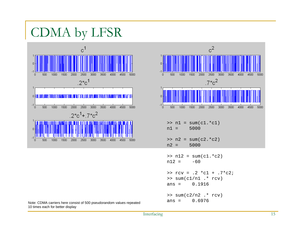CDMA by LFSR





 Note: CDMA carriers here consist of 500 pseudorandom values repeated 10 times each for better display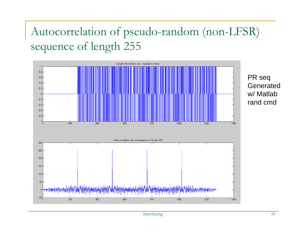#### Autocorrelation of pseudo-random (non-LFSR) sequence of length 255

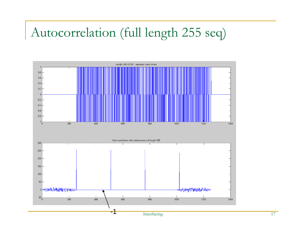#### Autocorrelation (full length 255 seq)

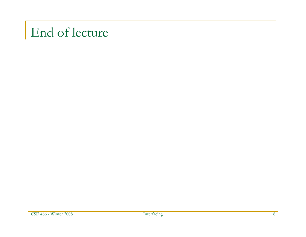#### End of lecture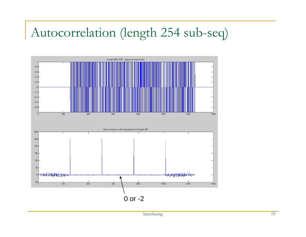#### Autocorrelation (length 254 sub-seq)

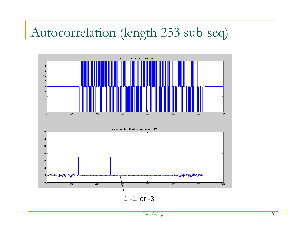#### Autocorrelation (length 253 sub-seq)



Interfacing 20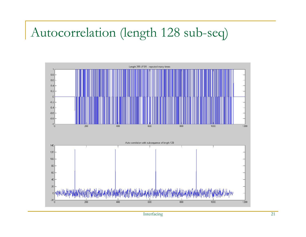#### Autocorrelation (length 128 sub-seq)

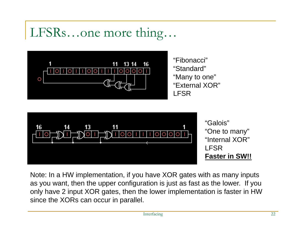#### LFSRs…one more thing…



"Fibonacci""Standard""Many to one" "External XOR"LFSR



Note: In a HW implementation, if you have XOR gates with as many inputs as you want, then the upper configuration is just as fast as the lower. If you only have 2 input XOR gates, then the lower implementation is faster in HW since the XORs can occur in parallel.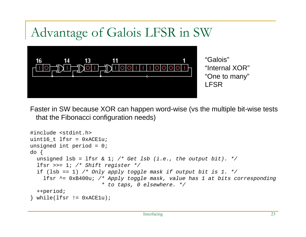#### Advantage of Galois LFSR in SW



Faster in SW because XOR can happen word-wise (vs the multiple bit-wise tests that the Fibonacci configuration needs)

```
#include <stdint.h> 
uint16_t lfsr = 0xACE1u;
unsigned int period = 0; 
do {
  unsigned \text{lsb} = \text{lfsr} \& 1; /* Get \text{lsb} (i.e., the output bit). */
  lfsr >>= 1; /* Shift register */
  if (lsb == 1) /* Only apply toggle mask if output bit is 1. */
    lfsr ^= 0xB400u; /* Apply toggle mask, value has 1 at bits corresponding 
                        * to taps, 0 elsewhere. */
  ++period; 
} while(lfsr != 0xACE1u);
```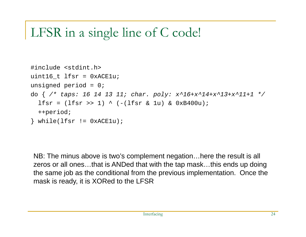#### LFSR in a single line of C code!

```
#include <stdint.h> 
uint16 t lfsr = 0xACE1u;
unsigned period = 0; 
do { /* taps: 16 14 13 11; char. poly: x^16+x^14+x^13+x^11+1 */
  lfsr = (lfsr >> 1) ^ (-(lfsr & l u) & 0xB400u);
  ++period; 
\} while(lfsr != 0 \times ACE1u);
```
NB: The minus above is two's complement negation…here the result is all zeros or all ones…that is ANDed that with the tap mask…this ends up doing the same job as the conditional from the previous implementation. Once the mask is ready, it is XORed to the LFSR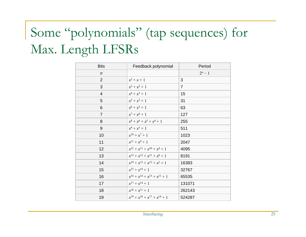### Some "polynomials" (tap sequences) for Max. Length LFSRs

| <b>Bits</b>    | Feedback polynomial                     | Period         |
|----------------|-----------------------------------------|----------------|
| $\mathsf{n}$   |                                         | $2^n - 1$      |
| $\overline{2}$ | $x^2 + x + 1$                           | 3              |
| 3              | $x^3 + x^2 + 1$                         | $\overline{7}$ |
| $\overline{4}$ | $x^4 + x^3 + 1$                         | 15             |
| 5              | $x^5 + x^3 + 1$                         | 31             |
| 6              | $x^6 + x^5 + 1$                         | 63             |
| $\overline{7}$ | $x^7 + x^6 + 1$                         | 127            |
| 8              | $x^8 + x^6 + x^5 + x^4 + 1$             | 255            |
| 9              | $x^9 + x^5 + 1$                         | 511            |
| 10             | $x^{10} + x^7 + 1$                      | 1023           |
| 11             | $x^{11} + x^9 + 1$                      | 2047           |
| 12             | $x^{12} + x^{11} + x^{10} + x^4 + 1$    | 4095           |
| 13             | $x^{13} + x^{12} + x^{11} + x^8 + 1$    | 8191           |
| 14             | $x^{14} + x^{13} + x^{12} + x^2 + 1$    | 16383          |
| 15             | $x^{15} + x^{14} + 1$                   | 32767          |
| 16             | $x^{16} + x^{14} + x^{13} + x^{11} + 1$ | 65535          |
| 17             | $x^{17} + x^{14} + 1$                   | 131071         |
| 18             | $x^{18} + x^{11} + 1$                   | 262143         |
| 19             | $x^{19} + x^{18} + x^{17} + x^{14} + 1$ | 524287         |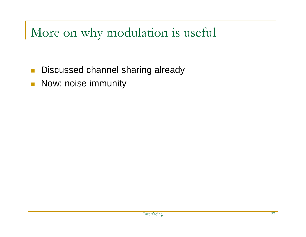More on why modulation is useful

- Г Discussed channel sharing already
- $\mathcal{L}_{\mathcal{A}}$ Now: noise immunity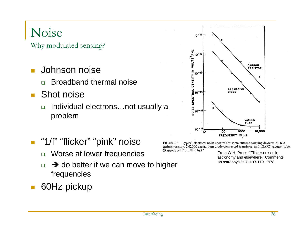#### Noise

Why modulated sensing?

- T. Johnson noise
	- $\Box$ Broadband thermal noise
- $\overline{\mathcal{A}}$  Shot noise
	- $\Box$  Individual electrons…not usually a problem



- $\mathcal{L}_{\mathcal{A}}$  "1/f" "flicker" "pink" noise
	- $\Box$ Worse at lower frequencies
	- $\Box$  $\Box \rightarrow$  do better if we can move to higher frequencies
- 60Hz pickup

FIGURE 5 Typical electrical noise spectra for some current-carrying devices: 50 K $\Omega$ carbon resistor, 2N2000 germanium diode-connected transistor, and 12AX7 vacuum tube. (Reproduced from Brophy).<sup>4</sup>

From W.H. Press, "Flicker noises in astronomy and elsewhere," Comments on astrophysics 7: 103-119. 1978.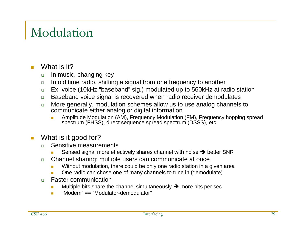#### Modulation

- m. What is it?
	- $\Box$ In music, changing key
	- $\Box$ In old time radio, shifting a signal from one frequency to another
	- $\Box$ Ex: voice (10kHz "baseband" sig.) modulated up to 560kHz at radio station
	- $\Box$ Baseband voice signal is recovered when radio receiver demodulates
	- $\Box$  More generally, modulation schemes allow us to use analog channels to communicate either analog or digital information
		- П Amplitude Modulation (AM), Frequency Modulation (FM), Frequency hopping spread spectrum (FHSS), direct sequence spread spectrum (DSSS), etc.
- $\mathbb{R}^3$  What is it good for?
	- $\Box$  Sensitive measurements
		- Sensed signal more effectively shares channel with noise  $\rightarrow$  better SNR
	- $\Box$  Channel sharing: multiple users can communicate at once
		- $\blacksquare$ Without modulation, there could be only one radio station in a given area
		- One radio can chose one of many channels to tune in (demodulate)
	- $\Box$  Faster communication
		- $\blacksquare$ Multiple bits share the channel simultaneously  $\rightarrow$  more bits per sec
		- "Modem" == "Modulator-demodulator"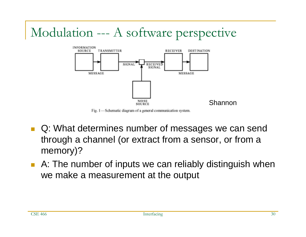#### Modulation --- A software perspective



Fig. 1—Schematic diagram of a general communication system.

- $\overline{\mathcal{A}}$  Q: What determines number of messages we can send through a channel (or extract from a sensor, or from a memory)?
- A: The number of inputs we can reliably distinguish when we make a measurement at the output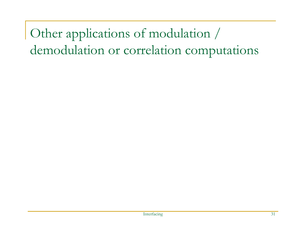Other applications of modulation / demodulation or correlation computations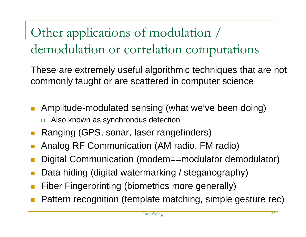Other applications of modulation / demodulation or correlation computations

These are extremely useful algorithmic techniques that are not commonly taught or are scattered in computer science

- **Amplitude-modulated sensing (what we've been doing)** □ Also known as synchronous detection
- Ranging (GPS, sonar, laser rangefinders)
- П Analog RF Communication (AM radio, FM radio)
- F Digital Communication (modem==modulator demodulator)
- F Data hiding (digital watermarking / steganography)
- П Fiber Fingerprinting (biometrics more generally)
- П Pattern recognition (template matching, simple gesture rec)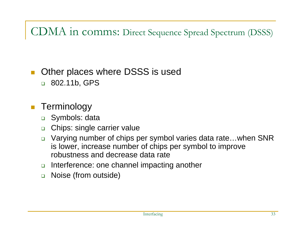#### CDMA in comms: Direct Sequence Spread Spectrum (DSSS)

#### $\mathbb{R}^3$ Other places where DSSS is used

802.11b, GPS

#### $\mathcal{L}^{\text{max}}$ **Terminology**

- Symbols: data
- $\Box$ Chips: single carrier value
- $\Box$  Varying number of chips per symbol varies data rate…when SNR is lower, increase number of chips per symbol to improve robustness and decrease data rate
- $\Box$ Interference: one channel impacting another
- $\Box$ Noise (from outside)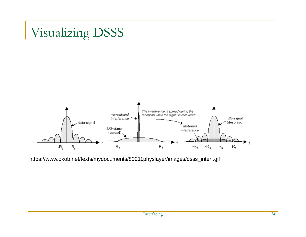#### Visualizing DSSS



https://www.okob.net/texts/mydocuments/80211physlayer/images/dsss\_interf.gif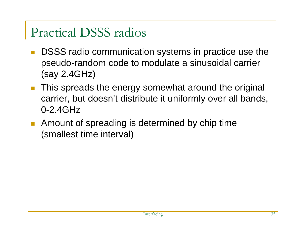#### Practical DSSS radios

- П DSSS radio communication systems in practice use the pseudo-random code to modulate a sinusoidal carrier (say 2.4GHz)
- $\mathcal{L}^{\text{max}}_{\text{max}}$  This spreads the energy somewhat around the original carrier, but doesn't distribute it uniformly over all bands, 0-2.4GHz
- F Amount of spreading is determined by chip time (smallest time interval)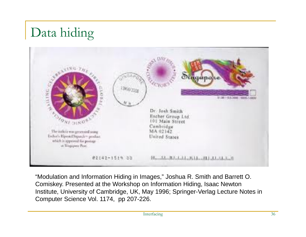## Data hiding



"Modulation and Information Hiding in Images," Joshua R. Smith and Barrett O. Comiskey. Presented at the Workshop on Information Hiding, Isaac Newton Institute, University of Cambridge, UK, May 1996; Springer-Verlag Lecture Notes in Computer Science Vol. 1174, pp 207-226.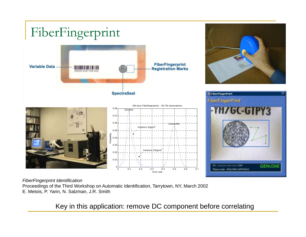

*FiberFingerprint Identification*

Proceedings of the Third Workshop on Automatic Identification, Tarrytown, NY, March 2002 E. Metois, P. Yarin, N. Salzman, J.R. Smith

Key in this application: remove DC component before correlating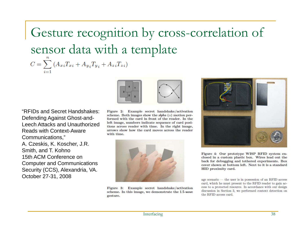Gesture recognition by cross-correlation of sensor data with a template  $C = \sum_{i=1}^{n} (A_{xi}T_{xi} + A_{yi}T_{y_i} + A_{zi}T_{zi})$ 



"RFIDs and Secret Handshakes: Defending Against Ghost-and-Leech Attacks and Unauthorized Reads with Context-Aware Communications," A. Czeskis, K. Koscher, J.R. Smith, and T. Kohno 15th ACM Conference on Computer and Communications Security (CCS), Alexandria, VA. October 27-31, 2008

Figure 2: Example secret handshake/activation scheme. Both images show the alpha  $(\alpha)$  motion performed with the card in front of the reader. In the left image, numbers indicate sequence of card positions across reader with time. In the right image, arrows show how the card moves across the reader with time.



Figure 3: Example secret handshake/activation scheme. In this image, we demonstrate the 1.5-wave gesture.



Figure 4: Our prototype WISP RFID system enclosed in a custom plastic box. Wires lead out the back for debugging and tethered experiments. Box cover shown at bottom left. Next to it is a standard HID proximity card.

age scenario — the user is in possession of an RFID access card, which he must present to the RFID reader to gain access to a protected resource. In accordance with our design discussion in Section 3, we performed context detection on the RFID access card.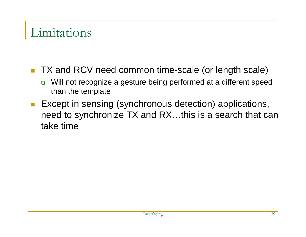#### Limitations

- TX and RCV need common time-scale (or length scale)
	- $\Box$  Will not recognize a gesture being performed at a different speed than the template
- **Except in sensing (synchronous detection) applications,** need to synchronize TX and RX…this is a search that can take time